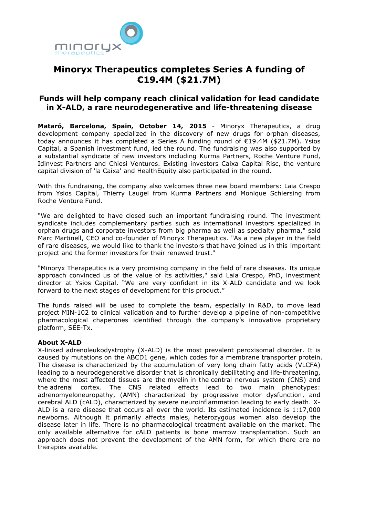

# **Minoryx Therapeutics completes Series A funding of €19.4M (\$21.7M)**

## **Funds will help company reach clinical validation for lead candidate in X-ALD, a rare neurodegenerative and life-threatening disease**

**Mataró, Barcelona, Spain, October 14, 2015** - Minoryx Therapeutics, a drug development company specialized in the discovery of new drugs for orphan diseases, today announces it has completed a Series A funding round of €19.4M (\$21.7M). Ysios Capital, a Spanish investment fund, led the round. The fundraising was also supported by a substantial syndicate of new investors including Kurma Partners, Roche Venture Fund, Idinvest Partners and Chiesi Ventures. Existing investors Caixa Capital Risc, the venture capital division of 'la Caixa' and HealthEquity also participated in the round.

With this fundraising, the company also welcomes three new board members: Laia Crespo from Ysios Capital, Thierry Laugel from Kurma Partners and Monique Schiersing from Roche Venture Fund.

"We are delighted to have closed such an important fundraising round. The investment syndicate includes complementary parties such as international investors specialized in orphan drugs and corporate investors from big pharma as well as specialty pharma," said Marc Martinell, CEO and co-founder of Minoryx Therapeutics. "As a new player in the field of rare diseases, we would like to thank the investors that have joined us in this important project and the former investors for their renewed trust."

"Minoryx Therapeutics is a very promising company in the field of rare diseases. Its unique approach convinced us of the value of its activities," said Laia Crespo, PhD, investment director at Ysios Capital. "We are very confident in its X-ALD candidate and we look forward to the next stages of development for this product."

The funds raised will be used to complete the team, especially in R&D, to move lead project MIN-102 to clinical validation and to further develop a pipeline of non-competitive pharmacological chaperones identified through the company's innovative proprietary platform, SEE-Tx.

## **About X-ALD**

X-linked adrenoleukodystrophy (X-ALD) is the most prevalent peroxisomal disorder. It is caused by mutations on the ABCD1 gene, which codes for a membrane transporter protein. The disease is characterized by the accumulation of very long chain fatty acids (VLCFA) leading to a neurodegenerative disorder that is chronically debilitating and life-threatening, where the most affected tissues are the [myelin](https://en.wikipedia.org/wiki/Myelin) in the [central nervous system](https://en.wikipedia.org/wiki/Central_nervous_system) (CNS) and the adrenal cortex. The CNS related effects lead to two main phenotypes: adrenomyeloneuropathy, (AMN) characterized by progressive motor dysfunction, and cerebral ALD (cALD), characterized by severe neuroinflammation leading to early death. X-ALD is a rare disease that occurs all over the world. Its estimated incidence is 1:17,000 newborns. Although it primarily affects males, heterozygous women also develop the disease later in life. There is no pharmacological treatment available on the market. The only available alternative for cALD patients is bone marrow transplantation. Such an approach does not prevent the development of the AMN form, for which there are no therapies available.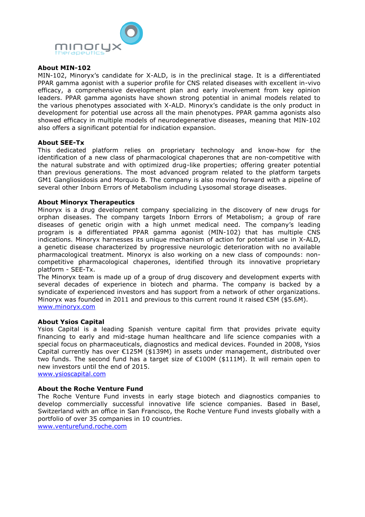

## **About MIN-102**

MIN-102, Minoryx's candidate for X-ALD, is in the preclinical stage. It is a differentiated PPAR gamma agonist with a superior profile for CNS related diseases with excellent in-vivo efficacy, a comprehensive development plan and early involvement from key opinion leaders. PPAR gamma agonists have shown strong potential in animal models related to the various phenotypes associated with X-ALD. Minoryx's candidate is the only product in development for potential use across all the main phenotypes. PPAR gamma agonists also showed efficacy in multiple models of neurodegenerative diseases, meaning that MIN-102 also offers a significant potential for indication expansion.

### **About SEE-Tx**

This dedicated platform relies on proprietary technology and know-how for the identification of a new class of pharmacological chaperones that are non-competitive with the natural substrate and with optimized drug-like properties; offering greater potential than previous generations. The most advanced program related to the platform targets GM1 Gangliosidosis and Morquio B. The company is also moving forward with a pipeline of several other Inborn Errors of Metabolism including Lysosomal storage diseases.

### **About Minoryx Therapeutics**

Minoryx is a drug development company specializing in the discovery of new drugs for orphan diseases. The company targets Inborn Errors of Metabolism; a group of rare diseases of genetic origin with a high unmet medical need. The company's leading program is a differentiated PPAR gamma agonist (MIN-102) that has multiple CNS indications. Minoryx harnesses its unique mechanism of action for potential use in X-ALD, a genetic disease characterized by progressive neurologic deterioration with no available pharmacological treatment. Minoryx is also working on a new class of compounds: noncompetitive pharmacological chaperones, identified through its innovative proprietary platform - SEE-Tx.

The Minoryx team is made up of a group of drug discovery and development experts with several decades of experience in biotech and pharma. The company is backed by a syndicate of experienced investors and has support from a network of other organizations. Minoryx was founded in 2011 and previous to this current round it raised  $\epsilon$ 5M (\$5.6M). [www.minoryx.com](http://www.minoryx.com/)

#### **About Ysios Capital**

Ysios Capital is a leading Spanish venture capital firm that provides private equity financing to early and mid-stage human healthcare and life science companies with a special focus on pharmaceuticals, diagnostics and medical devices. Founded in 2008, Ysios Capital currently has over  $E125M$  (\$139M) in assets under management, distributed over two funds. The second fund has a target size of €100M (\$111M). It will remain open to new investors until the end of 2015.

[www.ysioscapital.com](http://www.ysioscapital.com/)

## **About the Roche Venture Fund**

The Roche Venture Fund invests in early stage biotech and diagnostics companies to develop commercially successful innovative life science companies. Based in Basel, Switzerland with an office in San Francisco, the Roche Venture Fund invests globally with a portfolio of over 35 companies in 10 countries.

[www.venturefund.roche.com](http://www.venturefund.roche.com/)